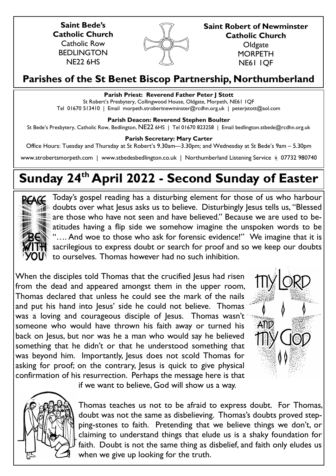**Saint Bede's Catholic Church** Catholic Row **BEDLINGTON** NE22 6HS



**Saint Robert of Newminster Catholic Church Oldgate MORPETH** NE61 1QF

# **Parishes of the St Benet Biscop Partnership, Northumberland**

# **Parish Priest: Reverend Father Peter J Stott**

St Robert's Presbytery, Collingwood House, Oldgate, Morpeth, NE61 1QF Tel 01670 513410 | Email morpeth.strobertnewminster@rcdhn.org.uk | peterjstott@aol.com

# **Parish Deacon: Reverend Stephen Boulter**

St Bede's Presbytery, Catholic Row, Bedlington, NE22 6HS | Tel 01670 823258 | Email bedlington.stbede@rcdhn.org.uk

# **Parish Secretary: Mary Carter**

Office Hours: Tuesday and Thursday at St Robert's 9.30am—3.30pm; and Wednesday at St Bede's 9am – 5.30pm

www.strobertsmorpeth.com | www.stbedesbedlington.co.uk | Northumberland Listening Service | 07732 980740

# **Sunday 24th April 2022 - Second Sunday of Easter**



Today's gospel reading has a disturbing element for those of us who harbour doubts over what lesus asks us to believe. Disturbingly lesus tells us, "Blessed are those who have not seen and have believed." Because we are used to beatitudes having a flip side we somehow imagine the unspoken words to be "…. And woe to those who ask for forensic evidence!" We imagine that it is sacrilegious to express doubt or search for proof and so we keep our doubts to ourselves. Thomas however had no such inhibition.

When the disciples told Thomas that the crucified Jesus had risen from the dead and appeared amongst them in the upper room, Thomas declared that unless he could see the mark of the nails and put his hand into Jesus' side he could not believe. Thomas was a loving and courageous disciple of Jesus. Thomas wasn't someone who would have thrown his faith away or turned his back on Jesus, but nor was he a man who would say he believed something that he didn't or that he understood something that was beyond him. Importantly, Jesus does not scold Thomas for asking for proof; on the contrary, Jesus is quick to give physical confirmation of his resurrection. Perhaps the message here is that





if we want to believe, God will show us a way.

Thomas teaches us not to be afraid to express doubt. For Thomas, doubt was not the same as disbelieving. Thomas's doubts proved stepping-stones to faith. Pretending that we believe things we don't, or claiming to understand things that elude us is a shaky foundation for faith. Doubt is not the same thing as disbelief, and faith only eludes us when we give up looking for the truth.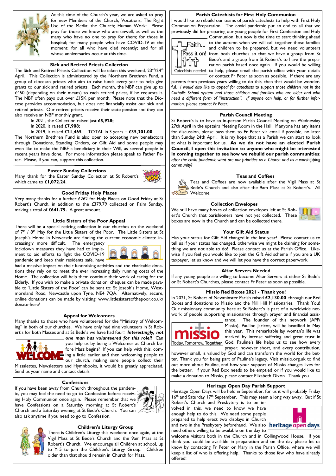

At this time of the Church's year, we are asked to pray for new Members of the Church; Vocations; The Right Use of the Media; the Church; Human Work: Please pray for those we know who are unwell, as well as the many who have no one to pray for them; for those in hospital; for many people who have COVID-19 at the moment; for all who have died recently; and for all whose anniversaries occur at this time.

#### **Sick and Retired Priests Collection**

The Sick and Retired Priests Collection will be taken this weekend, 23<sup>rd</sup>/24<sup>th</sup> April. This Collection is administered by the Northern Brethren Fund, a group of diocesan priests who aim to raise funds every year to help give grants to our sick and retired priests. Each month, the NBF can give up to £450 (depending on their means) to each retired priest, if he requests it. The NBF often pays out over £15K per month. Please note that the Diocese provides accommodation, but does not financially assist our sick and retired priests. Our retired priests receive their state pension and they can also receive an NBF monthly grant.

- In 2021, the Collection raised just **£5,928;**
- In 2020, it raised **£7,908**;
- In 2019, it raised **£21,465**. TOTAL in 3 years = **£35,301.00**

The Northern Brethren Fund is also open to accepting new benefactors through Donations, Standing Orders, or Gift Aid and some people may even like to make the NBF a beneficiary in their Will, as several people in recent years have done. For more information please speak to Father Peter. Please, if you can, support this collection.

#### **Easter Sunday Collections**

Many thank for the Easter Sunday Collection at St Robert's which came to **£1,072.24**.

#### **Good Friday Holy Places**

Very many thanks for a further £262 for Holy Places on Good Friday at St Robert's Church, in addition to the £379.79 collected on Palm Sunday, making a total of **£641.79.** A great amount.

#### **Little Sisters of the Poor Appeal**

There will be a special retiring collection in our churches on the weekend of  $7<sup>th</sup>$  /  $8<sup>th</sup>$  May for the Little Sisters of the Poor. The Little Sisters at St Joseph's Home in Newcastle are finding the current economic climate in-

creasingly more difficult. The emergency lockdown measures they have had to implement to aid efforts to fight the COVID-19 pandemic and keep their residents safe, have



had a massive impact on their fundraising activities and the charitable donations they rely on to meet the ever increasing daily running costs of the Home. The collection will help them continue their work of caring for the Elderly. If you wish to make a private donation, cheques can be made payable to 'Little Sisters of the Poor' can be sent to: St loseph's Home, Westmoreland Road, Newcastle upon Tyne, NE4 7QA. Alternatively, secure, online donations can be made by visiting: www.littlesistersofthepoor.co.uk/ donate-here/

#### **Appeal for Welcomers**

Many thanks to those who have volunteered for the "Ministry of Welcoming" in both of our churches. We have only had nine volunteers in St Robert's for both Masses and at St Bede's we have had four! *Interestingly, not* 



*one man has volunteered for this role!!* Can you help us by being a Welcomer at Church before Mass begins? If you can help with this, coming a little earlier and then welcoming people to our church, making sure people collect their Missalettes, Newsletters and Hymnbooks, it would be greatly appreciated.

Send us your name and contact details.

#### **Confessions**

If you have been away from Church throughout the pandemic, you may feel the need to go to Confession before receiving Holy Communion once again. Please remember that we have Confessions on a Saturday morning at St Robert's Church and a Saturday evening at St Bede's Church. You can also ask anytime if you need to go to Confession.





#### **Children's Liturgy Group**

There is Children's Liturgy this weekend once again, at the Vigil Mass at St Bede's Church and the 9am Mass at St Robert's Church. We encourage all Children at school, up to Yr5 to join the Children's Liturgy Group. Children older than that should remain in Church for Mass.

#### **Parish Catechists for First Holy Communion**

I would like to rebuild our teams of parish catechists to help with First Holy Communion Preparation. The covid pandemic put an end to all that we previously did for preparing our young people for First Confession and Holy



Communion, but now is the time to start thinking ahead to the autumn when we will call together those families and children to be prepared, but we need volunteers from both churches so that we have a group from St Bede's and a group from St Robert's to have the preparation parish based once again. If you would be willing Catechists needed to help, please email the parish office with your details or contact Fr Peter as soon as possible. If there are any

parents from previous years willing to do this, then that would be wonderful. I would also like to appeal for catechists to support those children not in the *Catholic School system and those children and families who are older and who need a different form of "instruction". If anyone can help, or for further information, please contact Fr Peter.*

# **Parish Council Meeting**

St Robert's is to have an in-person Parish Council Meeting on Wednesday 27th April in the upstairs Meeting Room in the Hall. If anyone has any items for discussion, please pass them to Fr Peter via email if possible, no later than Sunday 24th April. It is my hope that as a Parish we can start to look at what is important for us. **As we do not have an elected Parish Council, I open this invitation to anyone who might be interested in coming together to see how we rebuild our parish communities**; *after the covid pandemic what are our priorities as a Church and as a worshipping community*?

#### **Teas and Coffees**

Teas and Coffees are now available after the Vigil Mass at St Bede's Church and also after the 9am Mass at St Robert's. All Welcome.

#### **Collection Envelopes**

We still have many boxes of collection envelopes left at St Robert's Church that parishioners have not yet collected. These boxes are now in the Church and can be collected there.



Has your status for Gift Aid changed in the last year? Please contact us to tell us if your status has changed, otherwise we might be claiming for something we are not able to do! Please contact us at the Parish Office. Likewise if you feel you would like to join the Gift Aid scheme if you are a UK taxpayer, let us know and we will let you have the correct paperwork.

#### **Altar Servers Needed**

If any young people are willing to become Altar Servers at either St Bede's or St Robert's Churches, please contact Fr Peter as soon as possible.

#### **Missio Red Boxes 2021 - Thank you!**

In 2021, St Robert of Newminster Parish raised **£2,130.00** through our Red Boxes and donations to Missio and the Mill Hill Missionaries. Thank You! Our missionary community here at St Robert's is part of a worldwide network of people supporting missionaries through prayer and financial assis-



tance. The founder of this network (APF/ Missio), Pauline Jaricot, will be beatified in May this year. This remarkable lay woman's life was marked by intense suffering and great trust in Today. Tomorrow. Together. God. Pauline's life helps us to see how every prayer, however short, and every contribution,

however small, is valued by God and can transform the world for the better. Thank you for being part of Pauline's legacy. Visit missio.org.uk to find out more about Pauline, and how your support of Missio changes lives for the better. If your Red Box needs to be emptied or if you would like to make a donation to Missio, please contact Elizabeth Dixon. Thank you.

#### **Heritage Open Day Parish Support**

Heritage Open Days will be held in September, for us it will probably Friday 16<sup>th</sup> and Saturday 17<sup>th</sup> September. This may seem a long way away. But if St Robert's Church and Presbytery is to be in-

volved in this, we need to know we have enough help to do this. We need some people prepared to help erect two displays in Church and two in the Presbytery beforehand. We also heritage open days need others willing to be available on the day to



welcome visitors both in the Church and in Collingwood House. If you think you could be available in preparation and on the day please let us know by contacting Fr Peter or Mary in the Parish Office, where we will keep a list of who is offering help. Thanks to those few who have already offered!



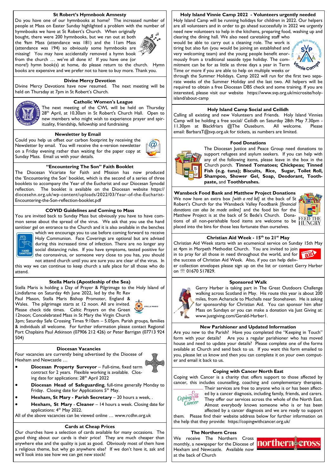#### **St Robert's Hymnbook Amnesty**

Do you have one of our hymnbooks at home? The increased number of people at Mass on Easter Sunday highlighted a problem with the number of hymnbooks we have at St Robert's Church. When originally

bought, there were 200 hymnbooks, but we ran out at both the 9am Mass (attendance was 181) and the 11am Mass  $(attendance was 194) so obviously some hymnbooks are$ missing! You may have accidentally removed a hymn book from the church … we've all done it! If you have one (or



more!) hymn book(s) at home, do please return to the church. Hymn books are expensive and we prefer not to have to buy more. Thank you.

#### **Divine Mercy Devotion**

Divine Mercy Devotions have now resumed. The next meeting will be held on Thursday at 7pm in St Robert's Church.



**Catholic Women's League**

The next meeting of the CWL will be held on Thursday 28<sup>th</sup> April, at 10.30am in St Robert's Church Hall. Open to new members who might wish to experience prayer and spirituality, friendship, fellowship and fundraising.

#### **Newsletter by Email**

Could you help us offset our carbon footprint by receiving the Newsletter by email. You will receive the e-version newsletter on a Friday evening rather than waiting for the paper copy at Sunday Mass. Email us with your details.



#### **"Encountering The Son" Faith Booklet**

The Diocesan Vicariate for Faith and Mission has now produced the 'Encountering the Son' booklet, which is the second of a series of three booklets to accompany the Year of the Eucharist and our Diocesan Synodal reflection. The booklet is available on the Diocesan website https:// diocesehn.org.uk/wp-content/uploads/2022/03/Year-of-the-Eucharist-Encountering-the-Son-reflection-booklet.pdf

## **COVID Guidelines and Coming to Mass**

You are invited back to Sunday Mass but obviously you have to have common sense about the spread of the virus. We ask that you use the hand sanitiser gel on entrance to the Church and it is also available in the benches



which we encourage you to use before coming forward to receive Holy Communion. Face Coverings are optional but are advised during this increased time of infection. There are no longer any social distancing rules. If you have symptoms, tested positive for the coronavirus, or someone very close to you has, you should

not attend church until you are sure you are clear of the virus. In this way we can continue to keep church a safe place for all those who do attend.

#### **Stella Maris (Apostleship of the Sea)**

Stella Maris is holding a Day of Prayer & Pilgrimage to the Holy Island of Lindisfarne on Saturday 4th June 2022, led by the Rt Rev

Paul Mason, Stella Maris Bishop Promoter, England & Wales. The pilgrimage starts at 12 noon. All are invited. Please check tide times. Celtic Prayers on the Green 12noon; Concelebrated Mass in St Mary the Virgin Church



3pm; Saturday Safe Crossing Times 9:10am – 5.05pm. Parish groups, families & individuals all welcome. For further information please contact Regional Port Chaplains Paul Atkinson (07906 212 426) or Peter Barrigan (07713 924 504)

#### **Diocesan Vacancies**

Four vacancies are currently being advertised by the Diocese of Hexham and Newcastle …



- **Diocesan Head of Safeguarding**, full-time generally Monday to
	- Friday. Closing date for Applications 5<sup>th</sup> May.
- **Hexham, St Mary - Parish Secretary**  20 hours a week, .
- **Hexham, St Mary Cleaner** 14 hours a week. Closing date for applications: 4<sup>th</sup> May 2022.

All of the above vacancies can be viewed online … www.rcdhn.org.uk

#### **Cards at Cheap Prices**

Our churches have a selection of cards available for many occasions. The good thing about our cards is their price! They are much cheaper than anywhere else and the quality is just as good. Obviously most of them have a religious theme, but why go anywhere else? If we don't have it, ask and we'll look into see how we can get new stock!

#### **Holy Island Vinnie Camp 2022 - Volunteers urgently needed**

Holy Island Camp will be running holidays for children in 2022. Our helpers are all volunteers and in order to go ahead successfully in 2022 we urgently need new volunteers to help in the kitchens, preparing food, washing up and clearing the dining hall. We also need caretaking staff who

would be able to carry out a cleaning role. The work is tiring but also fun (you would be joining an established and very welcoming team) and the young people benefit enormously from a traditional seaside type holiday. The commitment can be for as little as three days a year in Term Time or more if you are able to help on multiple weeks or



through the Summer Holidays. Camp 2022 will run for the first two separate weeks of the Summer Holiday and the last two. All helpers will be required to obtain a free Diocesan DBS check and some training. If you are interested, please visit our website https://www.svp.org.uk/microsite/holyisland/about-camp

#### **Holy Island Camp Social and Ceilidh**

Calling all existing and new Volunteers and Friends. Holy Island Vinnies Camp will be holding a free social/ Ceilidh on Saturday 28th May 7.30pm - 11.30pm at Blackfriars @The Ouseburn. All welcome. Please email: BarbaraT@svp.org.uk for tickets, as numbers are limited.

#### **Food Donations**



The Diocesan Justice and Peace Group need donations to support refugees and asylum seekers. If you can help with any of the following items, please leave in the box in the Church porch. **Tinned Tomatoes; Chickpeas; Tinned Fish (e.g. tuna); Biscuits, Rice, Sugar, Toilet Roll, Shampoo, Shower Gel, Soap, Deodorant, Toothpaste,** and **Toothbrushes.** 

#### **Wansbeck Food Bank and Matthew Project Donations**

We now have an extra box *[with a red lid]* at the back of St Robert's Church for the Wansbeck Valley Foodbank *[financial donations can also be made online]* and the food bin for the Matthew Project is at the back of St Bede's Church. Donations of all non-perishable food items are welcome to be placed into the bins for those less fortunate than ourselves.



#### **Christian Aid Week - 15th to 21st May**

Christian Aid Week starts with an ecumenical service on Sunday 15th May at 4pm in Morpeth Methodist Church. You are invited to join in to pray for all those in need throughout the world, and for the success of Christian Aid Week. Also, if you can help deliv-

er collection envelopes please sign up on the list or contact Gerry Harber on <sup>®</sup> 01670 517829.

#### **Sponsored Walk**



Gerry Harber is taking part in The Great Outdoors Challenge walking across Scotland in May. His route this year is about 200 miles, from Acharacle to Muchalls near Stonehaven. He is asking for sponsorship for Christian Aid. You can sponsor him after Mass on Sundays or you can make a donation via Just Giving at: www.justgiving.com/Gerald-Harber1.

#### **New Parishioner and Updated Information**

Are you new to the Parish? Have you completed the "Keeping in Touch" form with your details? Are you a regular parishioner who has moved house and need to update your details? Please complete one of the forms available at Church and send back to us. If you want this form emailed to you, please let us know and then you can complete it on your own computer and email it back to us.

# **Coping with Cancer North East**

Coping with Cancer is a charity that offers support to those affected by cancer, this includes counselling, coaching and complementary therapies.



Their services are free to anyone who is or has been affected by a cancer diagnosis, including family, friends, and carers. They offer our services across the whole of the North East. Almost everybody knows someone who is or has been affected by a cancer diagnosis and we are ready to support

them. Please find their website address below for further information on the help that they provide: https://copingwithcancer.org.uk/

#### **The Northern Cross**

We receive The Northern Cross monthly, a newspaper for the Diocese of **northerne** Hexham and Newcastle. Available now at the back of Church